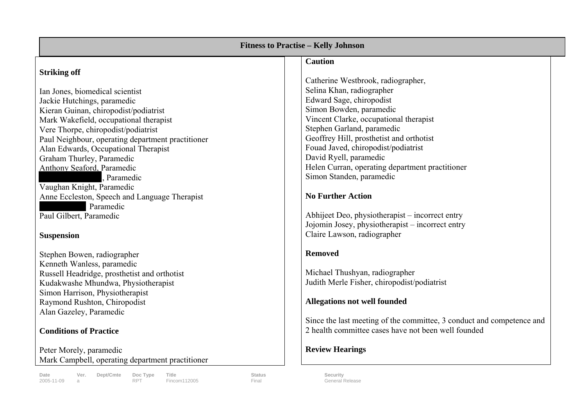| <b>Fitness to Practise - Kelly Johnson</b>                     |                                                                       |
|----------------------------------------------------------------|-----------------------------------------------------------------------|
| <b>Striking off</b>                                            | <b>Caution</b>                                                        |
|                                                                | Catherine Westbrook, radiographer,<br>Selina Khan, radiographer       |
| Ian Jones, biomedical scientist<br>Jackie Hutchings, paramedic | Edward Sage, chiropodist                                              |
| Kieran Guinan, chiropodist/podiatrist                          | Simon Bowden, paramedic                                               |
| Mark Wakefield, occupational therapist                         | Vincent Clarke, occupational therapist                                |
| Vere Thorpe, chiropodist/podiatrist                            | Stephen Garland, paramedic                                            |
| Paul Neighbour, operating department practitioner              | Geoffrey Hill, prosthetist and orthotist                              |
| Alan Edwards, Occupational Therapist                           | Fouad Javed, chiropodist/podiatrist                                   |
| Graham Thurley, Paramedic                                      | David Ryell, paramedic                                                |
| Anthony Seaford, Paramedic                                     | Helen Curran, operating department practitioner                       |
| , Paramedic                                                    | Simon Standen, paramedic                                              |
| Vaughan Knight, Paramedic                                      |                                                                       |
| Anne Eccleston, Speech and Language Therapist                  | <b>No Further Action</b>                                              |
| Paramedic                                                      |                                                                       |
| Paul Gilbert, Paramedic                                        | Abhijeet Deo, physiotherapist – incorrect entry                       |
|                                                                | Jojomin Josey, physiotherapist – incorrect entry                      |
| <b>Suspension</b>                                              | Claire Lawson, radiographer                                           |
|                                                                |                                                                       |
| Stephen Bowen, radiographer                                    | <b>Removed</b>                                                        |
| Kenneth Wanless, paramedic                                     |                                                                       |
| Russell Headridge, prosthetist and orthotist                   | Michael Thushyan, radiographer                                        |
| Kudakwashe Mhundwa, Physiotherapist                            | Judith Merle Fisher, chiropodist/podiatrist                           |
| Simon Harrison, Physiotherapist                                |                                                                       |
| Raymond Rushton, Chiropodist                                   | Allegations not well founded                                          |
| Alan Gazeley, Paramedic                                        |                                                                       |
|                                                                | Since the last meeting of the committee, 3 conduct and competence and |
| <b>Conditions of Practice</b>                                  | 2 health committee cases have not been well founded                   |
|                                                                |                                                                       |
| Peter Morely, paramedic                                        | <b>Review Hearings</b>                                                |
| Mark Campbell, operating department practitioner               |                                                                       |
| Ver. Dept/Cmte<br>Doc Type<br><b>Status</b><br>Date<br>Title   | Security                                                              |
| Fincom112005<br>2005-11-09<br><b>RPT</b><br>Final<br>a         | <b>General Release</b>                                                |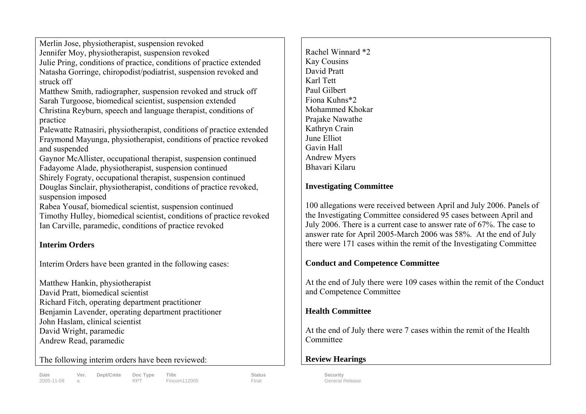Merlin Jose, physiotherapist, suspension revoked Jennifer Moy, physiotherapist, suspension revoked Julie Pring, conditions of practice, conditions of practice extended Natasha Gorringe, chiropodist/podiatrist, suspension revoked and struck off

Matthew Smith, radiographer, suspension revoked and struck off Sarah Turgoose, biomedical scientist, suspension extended Christina Reyburn, speech and language therapist, conditions of practice

Palewatte Ratnasiri, physiotherapist, conditions of practice extended Fraymond Mayunga, physiotherapist, conditions of practice revoked and suspended

Gaynor McAllister, occupational therapist, suspension continued Fadayome Alade, physiotherapist, suspension continued Shirely Fograty, occupational therapist, suspension continued Douglas Sinclair, physiotherapist, conditions of practice revoked, suspension imposed

Rabea Yousaf, biomedical scientist, suspension continued Timothy Hulley, biomedical scientist, conditions of practice revoked Ian Carville, paramedic, conditions of practice revoked

#### **Interim Orders**

Interim Orders have been granted in the following cases:

Matthew Hankin, physiotherapist David Pratt, biomedical scientist Richard Fitch, operating department practitioner Benjamin Lavender, operating department practitioner John Haslam, clinical scientist David Wright, paramedic Andrew Read, paramedic

The following interim orders have been reviewed:

Date **Solution Contains Ver.** Dept/Cmte Doc Type Title Status Status Status Security 2005-11-09 a RPT Fincom112005 Final General Release

Rachel Winnard \*2 Kay Cousins David Pratt Karl Tett Paul Gilbert Fiona Kuhns\*2 Mohammed Khokar Prajake Nawathe Kathryn Crain June Elliot Gavin Hall Andrew Myers Bhavari Kilaru

#### **Investigating Committee**

100 allegations were received between April and July 2006. Panels of the Investigating Committee considered 95 cases between April and July 2006. There is a current case to answer rate of 67%. The case to answer rate for April 2005-March 2006 was 58%. At the end of July there were 171 cases within the remit of the Investigating Committee

#### **Conduct and Competence Committee**

At the end of July there were 109 cases within the remit of the Conduct and Competence Committee

#### **Health Committee**

At the end of July there were 7 cases within the remit of the Health Committee

## **Review Hearings**